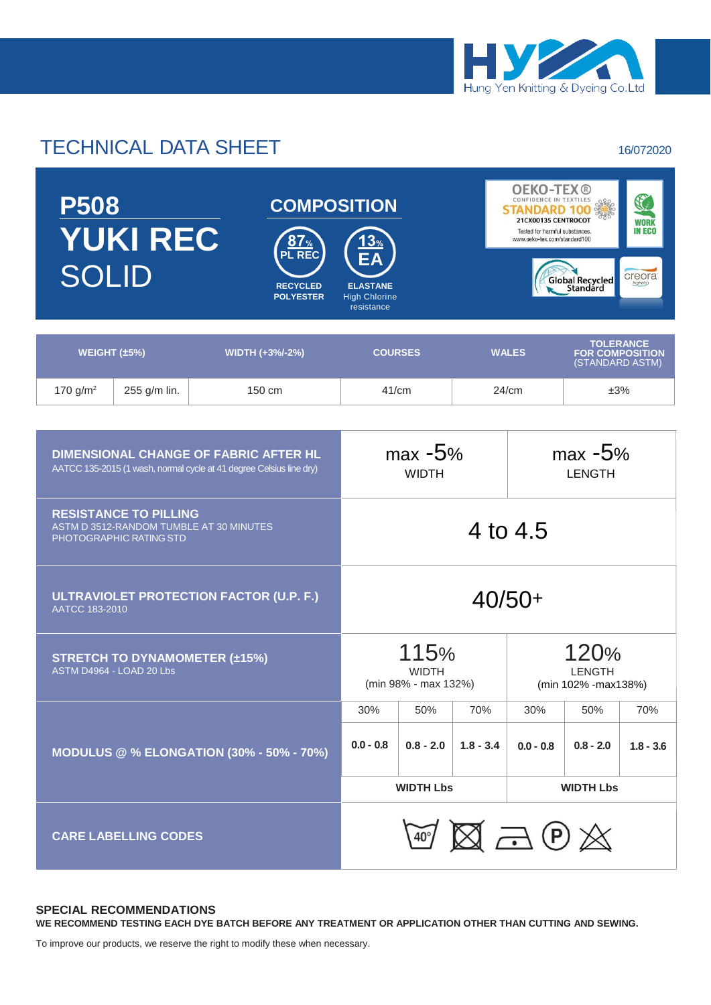

## TECHNICAL DATA SHEET 16/072020

| <b>P508</b><br><b>YUKI REC</b><br><b>SOLID</b> |              | <b>COMPOSITION</b><br>13%<br><b>8</b> / %<br><b>PL REC</b><br>EA<br><b>RECYCLED</b><br><b>ELASTANE</b><br><b>POLYESTER</b><br><b>High Chlorine</b><br>resistance |                | <b>OEKO-TEX®</b><br>S<br>CONFIDENCE IN TEXTILES<br>800000<br>21CX00135 CENTROCOT<br><b>WORK</b><br><b>IN ECO</b><br>Tested for harmful substances.<br>www.oeko-tex.com/standard100<br>creora<br>Global Recycled<br>highclo) |                                                               |  |
|------------------------------------------------|--------------|------------------------------------------------------------------------------------------------------------------------------------------------------------------|----------------|-----------------------------------------------------------------------------------------------------------------------------------------------------------------------------------------------------------------------------|---------------------------------------------------------------|--|
| WEIGHT $(\pm 5\%)$                             |              | <b>WIDTH (+3%/-2%)</b>                                                                                                                                           | <b>COURSES</b> | <b>WALES</b>                                                                                                                                                                                                                | <b>TOLERANCE</b><br><b>FOR COMPOSITION</b><br>(STANDARD ASTM) |  |
| 170 $g/m^2$                                    | 255 g/m lin. | $150 \text{ cm}$                                                                                                                                                 | 41/cm          | 24/cm                                                                                                                                                                                                                       | ±3%                                                           |  |

| <b>DIMENSIONAL CHANGE OF FABRIC AFTER HL</b><br>AATCC 135-2015 (1 wash, normal cycle at 41 degree Celsius line dry) | $max -5%$<br><b>WIDTH</b> |                                                                      |             | $max -5%$<br>LENGTH                           |                       |             |  |  |
|---------------------------------------------------------------------------------------------------------------------|---------------------------|----------------------------------------------------------------------|-------------|-----------------------------------------------|-----------------------|-------------|--|--|
| <b>RESISTANCE TO PILLING</b><br>ASTM D 3512-RANDOM TUMBLE AT 30 MINUTES<br><b>PHOTOGRAPHIC RATING STD</b>           | 4 to 4.5                  |                                                                      |             |                                               |                       |             |  |  |
| ULTRAVIOLET PROTECTION FACTOR (U.P. F.)<br>AATCC 183-2010                                                           |                           | $40/50+$                                                             |             |                                               |                       |             |  |  |
| <b>STRETCH TO DYNAMOMETER (±15%)</b><br>ASTM D4964 - LOAD 20 Lbs                                                    |                           | 115%<br><b>WIDTH</b><br>(min 98% - max 132%)<br>(min 102% - max138%) |             |                                               | 120%<br><b>LENGTH</b> |             |  |  |
|                                                                                                                     | 30%                       | 50%                                                                  | 70%         | 30%                                           | 50%                   | 70%         |  |  |
| <b>MODULUS @ % ELONGATION (30% - 50% - 70%)</b>                                                                     | $0.0 - 0.8$               | $0.8 - 2.0$                                                          | $1.8 - 3.4$ | $0.0 - 0.8$                                   | $0.8 - 2.0$           | $1.8 - 3.6$ |  |  |
|                                                                                                                     |                           | <b>WIDTH Lbs</b>                                                     |             |                                               | <b>WIDTH Lbs</b>      |             |  |  |
| <b>CARE LABELLING CODES</b>                                                                                         |                           |                                                                      |             | $\text{W} \boxtimes \text{A} \oplus \text{A}$ |                       |             |  |  |

## **SPECIAL RECOMMENDATIONS**

**WE RECOMMEND TESTING EACH DYE BATCH BEFORE ANY TREATMENT OR APPLICATION OTHER THAN CUTTING AND SEWING.**

To improve our products, we reserve the right to modify these when necessary.